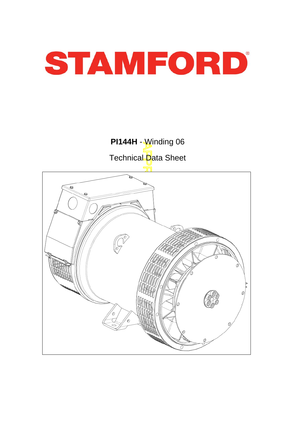

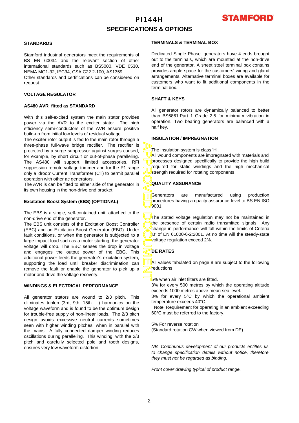# PI144H **SPECIFICATIONS & OPTIONS**



### **STANDARDS**

Stamford industrial generators meet the requirements o f BS EN 60034 and the relevant section of other international standards such as BS5000, VDE 0530, NEMA MG1-32, IEC34, CSA C22.2-100, AS1359.

Other standards and certifications can be considered on request.

### **VOLTAGE REGULATOR**

#### **AS480 AVR fitted as STANDARD**

With this self-excited system the main stator provides power via the AVR to the exciter stator. The high efficiency semi-conductors of the AVR ensure positive build-up from initial low levels of residual voltage.

The exciter rotor output is fed to the main rotor through a three-phase full-wave bridge rectifier. The rectifier is protected by a surge suppressor against surges caused, for example, by short circuit or out-of-phase paralleling. The AS480 will support limited accessories, RFI suppession remote voltage trimmer and for the P1 range only a 'droop' Current Transformer (CT) to permit parallel operation with other ac generators.

The AVR is can be fitted to either side of the generator in its own housing in the non-drive end bracket.

### **Excitation Boost System (EBS) (OPTIONAL)**

The EBS is a single, self-contained unit, attached to the non-drive end of the generator.

The EBS unit consists of the Excitation Boost Controller (EBC) and an Excitation Boost Generator (EBG). Unde r fault conditions, or when the generator is subjected to a large impact load such as a motor starting, the generator voltage will drop. The EBC senses the drop in voltage and engages the output power of the EBG. This additional power feeds the generator's excitation system, supporting the load until breaker discrimination can remove the fault or enable the generator to pick up a motor and drive the voltage recovery.

#### **WINDINGS & ELECTRICAL PERFORMANCE**

All generator stators are wound to 2/3 pitch. This eliminates triplen (3rd, 9th, 15th …) harmonics on the voltage waveform and is found to be the optimum design for trouble-free supply of non-linear loads. The 2/3 pitch design avoids excessive neutral currents sometimes seen with higher winding pitches, when in parallel with the mains. A fully connected damper winding reduces oscillations during paralleling. This winding, with the 2/3 pitch and carefully selected pole and tooth designs, ensures very low waveform distortion.

#### **TERMINALS & TERMINAL BOX**

Dedicated Single Phase generators have 4 ends brought out to the terminals, which are mounted at the non-drive end of the generator. A sheet steel terminal box contains provides ample space for the customers' wiring and gland arrangements. Alternative terminal boxes are available fo r customers who want to fit additional components in the terminal box.

### **SHAFT & KEYS**

All generator rotors are dynamically balanced to better than BS6861:Part 1 Grade 2.5 for minimum vibration in operation. Two bearing generators are balanced with a half key.

### **INSULATION / IMPREGNATION**

The insulation system is class 'H'.

All wound components are impregnated with materials and processes designed specifically to provide the high build required for static windings and the high mechanical strength required for rotating components.

### **QUALITY ASSURANCE**

Generators are manufactured using production procedures having a quality assurance level to BS EN ISO 9001.

APPROVED DOCUMENT The stated voltage regulation may not be maintained in the presence of certain radio transmitted signals. Any change in performance will fall within the limits of Criteria B' of EN 61000-6-2:2001. At no time will the steady-state voltage regulation exceed 2%.

### **DE RATES**

All values tabulated on page 8 are subiect to the following reductions

**5%** when air inlet filters are fitted.

3% for every 500 metres by which the operating altitude exceeds 1000 metres above mean sea level.

3% for every 5°C by which the operational ambient temperature exceeds 40°C.

 Note: Requirement for operating in an ambient exceeding 60°C must be referred to the factory.

5% For reverse rotation

(Standard rotation CW when viewed from DE)

*NB Continuous development of our products entitles us to change specification details without notice, therefore they must not be regarded as binding.* 

*Front cover drawing typical of product range.*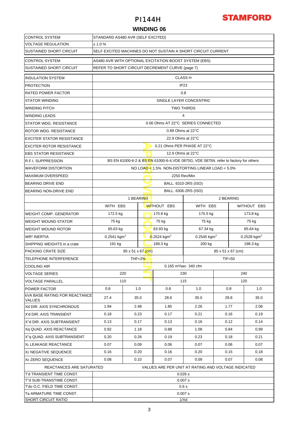

### **WINDING 06**

| <b>CONTROL SYSTEM</b>                                  | STANDARD AS480 AVR (SELF EXCITED)                   |                                                              |                           |                                   |                                                                                      |               |              |          |  |  |  |
|--------------------------------------------------------|-----------------------------------------------------|--------------------------------------------------------------|---------------------------|-----------------------------------|--------------------------------------------------------------------------------------|---------------|--------------|----------|--|--|--|
| <b>VOLTAGE REGULATION</b>                              | ± 1.0 %                                             |                                                              |                           |                                   |                                                                                      |               |              |          |  |  |  |
| <b>SUSTAINED SHORT CIRCUIT</b>                         |                                                     | SELF EXCITED MACHINES DO NOT SUSTAIN A SHORT CIRCUIT CURRENT |                           |                                   |                                                                                      |               |              |          |  |  |  |
| <b>CONTROL SYSTEM</b>                                  |                                                     | AS480 AVR WITH OPTIONAL EXCITATION BOOST SYSTEM (EBS)        |                           |                                   |                                                                                      |               |              |          |  |  |  |
| SUSTAINED SHORT CIRCUIT                                |                                                     | REFER TO SHORT CIRCUIT DECREMENT CURVE (page 7)              |                           |                                   |                                                                                      |               |              |          |  |  |  |
| <b>INSULATION SYSTEM</b>                               |                                                     | <b>CLASS H</b>                                               |                           |                                   |                                                                                      |               |              |          |  |  |  |
| <b>PROTECTION</b>                                      | IP23                                                |                                                              |                           |                                   |                                                                                      |               |              |          |  |  |  |
| <b>RATED POWER FACTOR</b>                              |                                                     | 0.8                                                          |                           |                                   |                                                                                      |               |              |          |  |  |  |
| <b>STATOR WINDING</b>                                  |                                                     | SINGLE LAYER CONCENTRIC                                      |                           |                                   |                                                                                      |               |              |          |  |  |  |
| <b>WINDING PITCH</b>                                   | <b>TWO THIRDS</b>                                   |                                                              |                           |                                   |                                                                                      |               |              |          |  |  |  |
| <b>WINDING LEADS</b>                                   | 4                                                   |                                                              |                           |                                   |                                                                                      |               |              |          |  |  |  |
| STATOR WDG. RESISTANCE                                 |                                                     | 0.06 Ohms AT 22°C SERIES CONNECTED                           |                           |                                   |                                                                                      |               |              |          |  |  |  |
| ROTOR WDG. RESISTANCE                                  |                                                     |                                                              |                           | 0.89 Ohms at 22°C                 |                                                                                      |               |              |          |  |  |  |
| <b>EXCITER STATOR RESISTANCE</b>                       |                                                     |                                                              |                           | 22.9 Ohms at 22°C                 |                                                                                      |               |              |          |  |  |  |
| <b>EXCITER ROTOR RESISTANCE</b>                        |                                                     |                                                              |                           | 0.21 Ohms PER PHASE AT 22°C       |                                                                                      |               |              |          |  |  |  |
| <b>EBS STATOR RESISTANCE</b>                           |                                                     |                                                              |                           | 12.9 Ohms at 22°C                 |                                                                                      |               |              |          |  |  |  |
| <b>R.F.I. SUPPRESSION</b>                              |                                                     |                                                              |                           |                                   | BS EN 61000-6-2 & BS EN 61000-6-4, VDE 0875G, VDE 0875N. refer to factory for others |               |              |          |  |  |  |
| <b>WAVEFORM DISTORTION</b>                             |                                                     |                                                              |                           |                                   | NO LOAD < $1.5\%$ NON-DISTORTING LINEAR LOAD < $5.0\%$                               |               |              |          |  |  |  |
| <b>MAXIMUM OVERSPEED</b>                               |                                                     |                                                              |                           |                                   | 2250 Rev/Min                                                                         |               |              |          |  |  |  |
| <b>BEARING DRIVE END</b>                               |                                                     |                                                              |                           |                                   | BALL. 6310-2RS (ISO)                                                                 |               |              |          |  |  |  |
| <b>BEARING NON-DRIVE END</b>                           |                                                     |                                                              |                           |                                   | BALL. 6306-2RS (ISO)                                                                 |               |              |          |  |  |  |
|                                                        |                                                     |                                                              | 2 BEARING                 |                                   |                                                                                      |               |              |          |  |  |  |
|                                                        | WITH EBS                                            |                                                              |                           | <b>WITHOUT EBS</b>                | WITH EBS                                                                             |               | WITHOUT EBS  |          |  |  |  |
| <b>WEIGHT COMP. GENERATOR</b>                          | 172.5 kg                                            |                                                              |                           | 170.8 kg                          | 175.5 kg                                                                             |               |              | 173.8 kg |  |  |  |
| <b>WEIGHT WOUND STATOR</b>                             | 75 kg                                               |                                                              |                           | 75 kg                             | 75 kg                                                                                |               | 75 kg        |          |  |  |  |
| <b>WEIGHT WOUND ROTOR</b>                              | 65.63 kg                                            |                                                              |                           | 63.93 kg                          | 67.34 kg                                                                             |               | 65.64 kg     |          |  |  |  |
| <b>WR<sup>2</sup> INERTIA</b>                          | $0.2541$ kgm <sup>2</sup>                           |                                                              | $0.2524$ kgm <sup>2</sup> | 0.2545 kgm <sup>2</sup>           |                                                                                      | 0.2528 $kgm2$ |              |          |  |  |  |
| SHIPPING WEIGHTS in a crate                            | 191 kg                                              |                                                              |                           | 189.3 kg                          | 200 kg                                                                               |               |              | 198.3 kg |  |  |  |
| <b>PACKING CRATE SIZE</b>                              | $85 \times 51 \times 67$ (cm)<br>85 x 51 x 67 (cm)  |                                                              |                           |                                   |                                                                                      |               |              |          |  |  |  |
| <b>TELEPHONE INTERFERENCE</b>                          | <b>TIF&lt;50</b><br>THF<2 $%$                       |                                                              |                           |                                   |                                                                                      |               |              |          |  |  |  |
| <b>COOLING AIR</b>                                     |                                                     |                                                              |                           | 0.165 m <sup>3</sup> /sec 340 cfm |                                                                                      |               |              |          |  |  |  |
| <b>VOLTAGE SERIES</b>                                  |                                                     | 220                                                          |                           |                                   | 230                                                                                  |               |              | 240      |  |  |  |
| <b>VOLTAGE PARALLEL</b>                                |                                                     | 110                                                          |                           |                                   | 115                                                                                  |               | 120          |          |  |  |  |
| <b>POWER FACTOR</b>                                    | 0.8                                                 |                                                              | 1.0                       | 0.8                               | 1.0                                                                                  | 0.8           |              | 1.0      |  |  |  |
| <b>KVA BASE RATING FOR REACTANCE</b><br><b>VALUES</b>  | 27.4                                                | 35.0                                                         |                           | 28.6                              | 35.0                                                                                 |               | 29.8<br>35.0 |          |  |  |  |
| Xd DIR. AXIS SYNCHRONOUS                               | 1.94                                                | 2.48                                                         | 1.85                      |                                   | 2.26                                                                                 |               | 1.77         | 2.08     |  |  |  |
| X'd DIR. AXIS TRANSIENT                                | 0.18                                                |                                                              | 0.23                      | 0.17                              | 0.21                                                                                 |               | 0.16<br>0.19 |          |  |  |  |
| X"d DIR. AXIS SUBTRANSIENT                             | 0.13<br>0.17                                        |                                                              |                           | 0.13                              | 0.16                                                                                 |               | 0.12         | 0.14     |  |  |  |
| Xq QUAD. AXIS REACTANCE                                | 0.92                                                | 1.18                                                         |                           | 0.88                              | 1.08                                                                                 | 0.84          |              | 0.99     |  |  |  |
| X"q QUAD. AXIS SUBTRANSIENT                            | 0.20                                                | 0.26                                                         |                           | 0.19                              | 0.23                                                                                 |               | 0.18         | 0.21     |  |  |  |
| XL LEAKAGE REACTANCE                                   | 0.07                                                | 0.09                                                         |                           | 0.06                              | 0.07                                                                                 |               | 0.06<br>0.07 |          |  |  |  |
| X <sub>2</sub> NEGATIVE SEQUENCE                       | 0.16<br>0.20                                        |                                                              |                           | 0.16                              | 0.20                                                                                 |               | 0.15         | 0.18     |  |  |  |
| X <sub>0</sub> ZERO SEQUENCE                           | 0.08                                                | 0.10                                                         |                           | 0.07                              | 0.09                                                                                 |               | 0.07         | 0.08     |  |  |  |
| REACTANCES ARE SATURATED                               | VALUES ARE PER UNIT AT RATING AND VOLTAGE INDICATED |                                                              |                           |                                   |                                                                                      |               |              |          |  |  |  |
| T'd TRANSIENT TIME CONST.                              | 0.026 s                                             |                                                              |                           |                                   |                                                                                      |               |              |          |  |  |  |
| T"d SUB-TRANSTIME CONST.                               | 0.007 s                                             |                                                              |                           |                                   |                                                                                      |               |              |          |  |  |  |
| T'do O.C. FIELD TIME CONST.<br>Ta ARMATURE TIME CONST. | 0.6s<br>0.007 s                                     |                                                              |                           |                                   |                                                                                      |               |              |          |  |  |  |
| <b>SHORT CIRCUIT RATIO</b>                             | 1/Xd                                                |                                                              |                           |                                   |                                                                                      |               |              |          |  |  |  |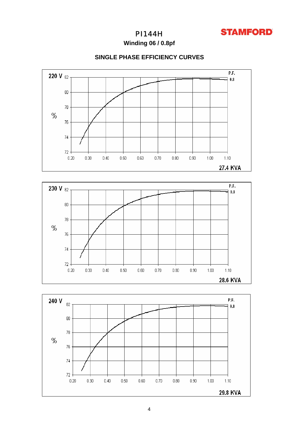

**Winding 06 / 0.8pf**

### **SINGLE PHASE EFFICIENCY CURVES**





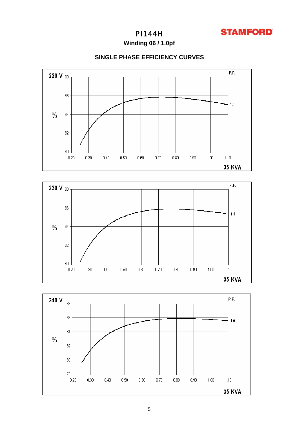

**Winding 06 / 1.0pf**

### **SINGLE PHASE EFFICIENCY CURVES**





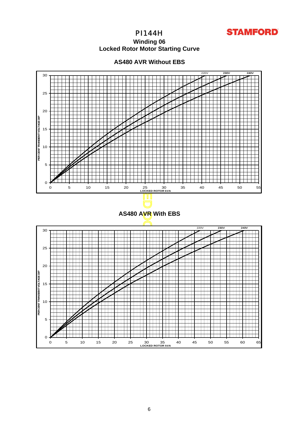

### **Winding 06 Locked Rotor Motor Startin g Curve**



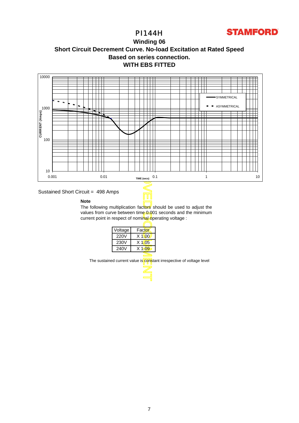

### **Winding 06 Short Circuit Decrement Curve. No-load Excitation at Rated Speed Based on series connection. WITH EBS FITTED**





### **Note**

The following multiplication factors should be used to adjust the values from curve between time 0.001 seconds and the minimum current point in respect of nominal operating voltage :

Τ

| Voltage     | Factor   |
|-------------|----------|
| <b>220V</b> | $X$ 1\00 |
| 230V        | $X$ 1005 |
| 240V        | $X$ 1.09 |
|             |          |

The sustained current value is constant irrespective of voltage level

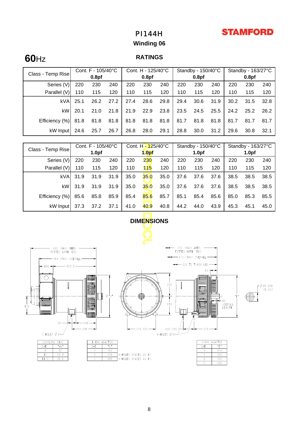# **STAMFORD**

# PI144H

# **Winding 06**

# **60**Hz

### **RATINGS**

| Class - Temp Rise | Cont. $F - 105/40^{\circ}C$ |                   |      | Cont. H - 125/40°C |                   |      | Standby - 150/40°C |                   |      | Standby - 163/27°C |                   |      |
|-------------------|-----------------------------|-------------------|------|--------------------|-------------------|------|--------------------|-------------------|------|--------------------|-------------------|------|
|                   |                             | 0.8 <sub>pf</sub> |      |                    | 0.8 <sub>pf</sub> |      |                    | 0.8 <sub>pf</sub> |      |                    | 0.8 <sub>pf</sub> |      |
| Series (V)        | 220                         | 230               | 240  | 220                | 230               | 240  | 220                | 230               | 240  | 220                | 230               | 240  |
| Parallel (V)      | 110                         | 115               | 120  | 110                | 115               | 120  | 110                | 115               | 120  | 110                | 115               | 120  |
| kVA               | 25.1                        | 26.2              | 27.2 | 27.4               | 28.6              | 29.8 | 29.4               | 30.6              | 31.9 | 30.2               | 31.5              | 32.8 |
| kW                | 20.1                        | 21.0              | 21.8 | 21.9               | 22.9              | 23.8 | 23.5               | 24.5              | 25.5 | 24.2               | 25.2              | 26.2 |
| Efficiency (%)    | 81.8                        | 81.8              | 81.8 | 81.8               | 81.8              | 81.8 | 81.7               | 81.8              | 81.8 | 81.7               | 81.7              | 81.7 |
| kW Input          | 24.6                        | 25.7              | 26.7 | 26.8               | 28.0              | 29.1 | 28.8               | 30.0              | 31.2 | 29.6               | 30.8              | 32.1 |

| Class - Temp Rise                                                                                                                                                                                                                                   | Cont. F - 105/40°C                     |      |                   | Cont. H - 125/40°C |               |                   | Standby - 150/40°C |      |      | Standby - 163/27°C |      |      |
|-----------------------------------------------------------------------------------------------------------------------------------------------------------------------------------------------------------------------------------------------------|----------------------------------------|------|-------------------|--------------------|---------------|-------------------|--------------------|------|------|--------------------|------|------|
|                                                                                                                                                                                                                                                     | 1.0 <sub>pf</sub><br>1.0 <sub>pf</sub> |      | 1.0 <sub>pf</sub> |                    |               | 1.0 <sub>pf</sub> |                    |      |      |                    |      |      |
| Series (V)                                                                                                                                                                                                                                          | 220                                    | 230  | 240               | 220                | 230           | 240               | 220                | 230  | 240  | 220                | 230  | 240  |
| Parallel (V)                                                                                                                                                                                                                                        | 110                                    | 115  | 120               | 110                | $+5$          | 120               | 110                | 115  | 120  | 110                | 115  | 120  |
| kVA                                                                                                                                                                                                                                                 | 31.9                                   | 31.9 | 31.9              | 35.0               | 350           | 35.0              | 37.6               | 37.6 | 37.6 | 38.5               | 38.5 | 38.5 |
| kW                                                                                                                                                                                                                                                  | 31.9                                   | 31.9 | 31.9              | 35.0               | $350^{\circ}$ | 35.0              | 37.6               | 37.6 | 37.6 | 38.5               | 38.5 | 38.5 |
| Efficiency (%)                                                                                                                                                                                                                                      | 85.6                                   | 85.8 | 85.9              | 85.4               | 856           | 85.7              | 85.1               | 85.4 | 85.6 | 85.0               | 85.3 | 85.5 |
| kW Input                                                                                                                                                                                                                                            | 37.3                                   | 37.2 | 37.1              | 41.0               | 40.9          | 40.8              | 44.2               | 44.0 | 43.9 | 45.3               | 45.1 | 45.0 |
| <b>DIMENSIONS</b>                                                                                                                                                                                                                                   |                                        |      |                   |                    |               |                   |                    |      |      |                    |      |      |
| 754 (MAX) WHEN<br>646 (MAX) W <b>HE</b> N<br>FITTED WITH 'EBS'<br>FITTED WITH 'EBS'<br>- 672 (MAX) OVERALL-<br>-564 (MAX) OVERALL-<br>$\rightarrow$ 520 TO T/BOX LID $\rightarrow$<br>$\leftarrow$ 136 $\rightarrow$<br>24.<br>$65 +$<br><b>NEW</b> |                                        |      |                   |                    |               |                   |                    |      |      |                    |      |      |